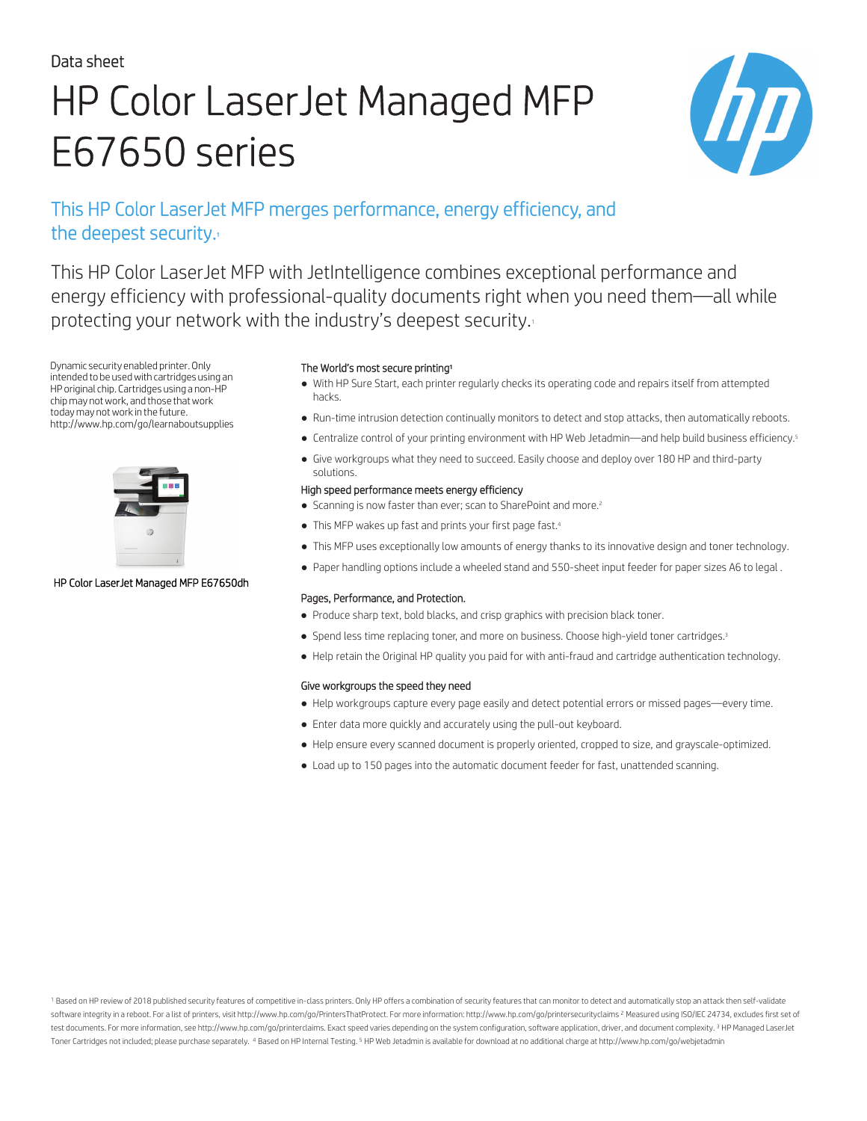#### Data sheet

# HP Color LaserJet Managed MFP E67650 series



## This HP Color LaserJet MFP merges performance, energy efficiency, and the deepest security. $\cdot$

This HP Color LaserJet MFP with JetIntelligence combines exceptional performance and energy efficiency with professional-quality documents right when you need them—all while protecting your network with the industry's deepest security.<sup>1</sup>

Dynamic security enabled printer.Only intended to be usedwith cartridges using an HP original chip. Cartridges using a non-HP chip may not work, and those that work today may not work in the future. http://www.hp.com/go/learnaboutsupplies



#### HP Color LaserJet Managed MFP E67650dh

#### The World's most secure printing<sup>1</sup>

- With HP Sure Start, each printer regularly checks its operating code and repairs itself from attempted hacks.
- Run-time intrusion detection continually monitors to detect and stop attacks, then automatically reboots.
- Centralize control of your printing environment with HP Web Jetadmin—and help build business efficiency.<sup>5</sup>
- Give workgroups what they need to succeed. Easily choose and deploy over 180 HP and third-party solutions.

#### High speed performance meets energy efficiency

- Scanning is now faster than ever; scan to SharePoint and more.<sup>2</sup>
- This MFP wakes up fast and prints your first page fast.<sup>4</sup>
- This MFP uses exceptionally low amounts of energy thanks to its innovative design and toner technology.
- Paper handling options include a wheeled stand and 550-sheet input feeder for paper sizes A6 to legal .

#### Pages, Performance, and Protection.

- Produce sharp text, bold blacks, and crisp graphics with precision black toner.
- Spend less time replacing toner, and more on business. Choose high-yield toner cartridges.<sup>3</sup>
- Help retain the Original HP quality you paid for with anti-fraud and cartridge authentication technology.

#### Give workgroups the speed they need

- Help workgroups capture every page easily and detect potential errors or missed pages—every time.
- Enter data more quickly and accurately using the pull-out keyboard.
- Help ensure every scanned document is properly oriented, cropped to size, and grayscale-optimized.
- Load up to 150 pages into the automatic document feeder for fast, unattended scanning.

Based on HP review of 2018 published security features of competitive in-class printers. Only HP offers a combination of security features that can monitor to detect and automatically stop an attack then self-validate software integrity in a reboot. For a list of printers, visit http://www.hp.com/go/PrintersThatProtect. For more information: http://www.hp.com/go/printersecurityclaims <sup>2</sup> Measured using ISO/IEC 24734, excludes first set test documents. For more information, see http://www.hp.com/go/printerclaims. Exact speed varies depending on the system configuration, software application, driver, and document complexity. <sup>3</sup> HP Managed LaserJet T[oner Cartridge](http://energystar.gov)s not included; please purchase separately. <sup>4</sup> Based on HP Internal Testing. <sup>5</sup> HP Web Jetadmin is available for download at no additional charge at http://www.hp.com/go/webjetadmin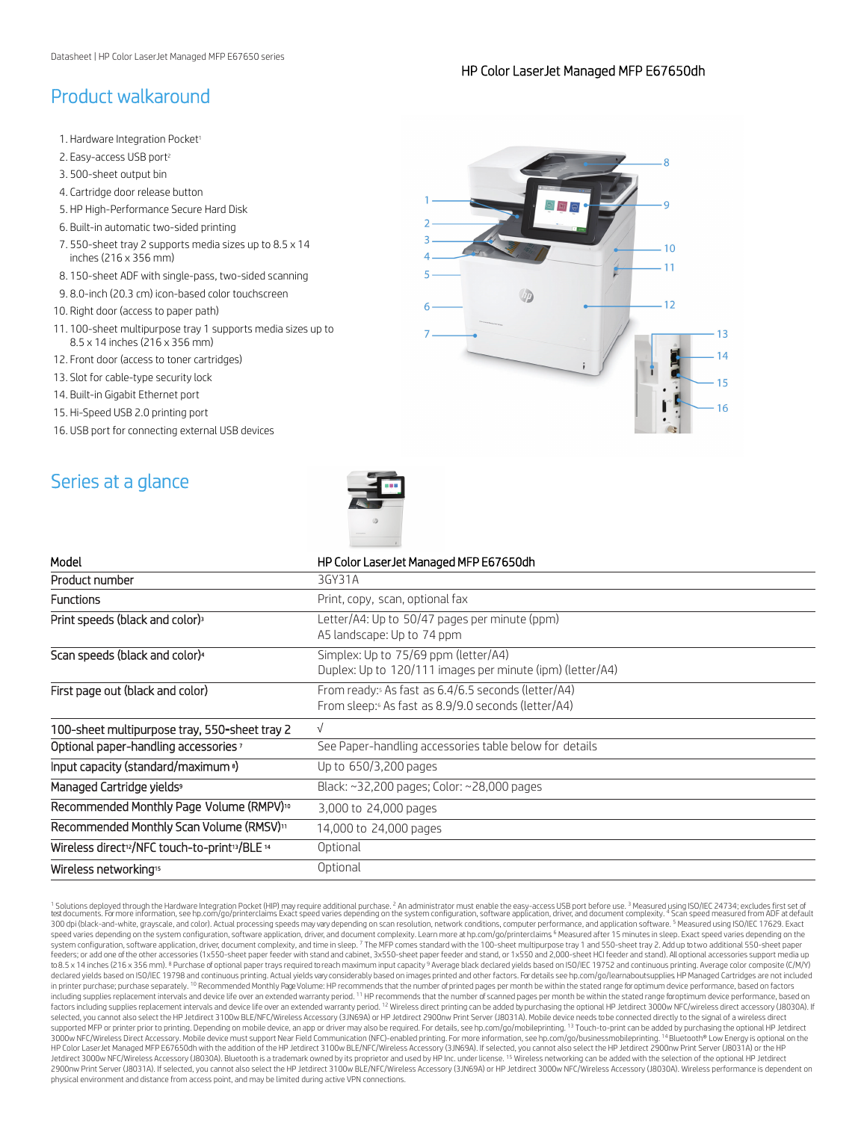## Product walkaround

- 1. Hardware Integration Pocket<sup>1</sup>
- 2. Easy-access USB port<sup>2</sup>
- 3. 500-sheet output bin
- 4. Cartridge door release button
- 5. HP High-Performance Secure Hard Disk
- 6. Built-in automatic two-sided printing
- 7. 550-sheet tray 2 supports media sizes up to 8.5 x 14 inches (216 x 356 mm)
- 8. 150-sheet ADF with single-pass, two-sided scanning
- 9. 8.0-inch (20.3 cm) icon-based color touchscreen
- 10. Right door (access to paper path)
- 11. 100-sheet multipurpose tray 1 supports media sizes up to 8.5 x 14 inches (216 x 356 mm)
- 12. Front door (access to toner cartridges)
- 13. Slot for cable-type security lock
- 14. Built-in Gigabit Ethernet port
- 15. Hi-Speed USB 2.0 printing port
- 16. USB port for connecting external USB devices





| Model<br>HP Color LaserJet Managed MFP E67650dh<br>Product number<br>3GY31A<br><b>Functions</b><br>Print, copy, scan, optional fax<br>Print speeds (black and color) <sup>3</sup><br>Letter/A4: Up to 50/47 pages per minute (ppm)<br>A5 landscape: Up to 74 ppm<br>Scan speeds (black and color) <sup>4</sup><br>Simplex: Up to 75/69 ppm (letter/A4) |  |
|--------------------------------------------------------------------------------------------------------------------------------------------------------------------------------------------------------------------------------------------------------------------------------------------------------------------------------------------------------|--|
|                                                                                                                                                                                                                                                                                                                                                        |  |
|                                                                                                                                                                                                                                                                                                                                                        |  |
|                                                                                                                                                                                                                                                                                                                                                        |  |
|                                                                                                                                                                                                                                                                                                                                                        |  |
| Duplex: Up to 120/111 images per minute (ipm) (letter/A4)                                                                                                                                                                                                                                                                                              |  |
| From ready: As fast as 6.4/6.5 seconds (letter/A4)<br>First page out (black and color)<br>From sleep: 6 As fast as 8.9/9.0 seconds (letter/A4)                                                                                                                                                                                                         |  |
| 100-sheet multipurpose tray, 550-sheet tray 2<br>$\sqrt{ }$                                                                                                                                                                                                                                                                                            |  |
| See Paper-handling accessories table below for details<br>Optional paper-handling accessories <sup>7</sup>                                                                                                                                                                                                                                             |  |
| Input capacity (standard/maximum <sup>8</sup> )<br>Up to 650/3,200 pages                                                                                                                                                                                                                                                                               |  |
| Managed Cartridge yields <sup>9</sup><br>Black: ~32,200 pages; Color: ~28,000 pages                                                                                                                                                                                                                                                                    |  |
| Recommended Monthly Page Volume (RMPV) <sup>10</sup><br>3,000 to 24,000 pages                                                                                                                                                                                                                                                                          |  |
| Recommended Monthly Scan Volume (RMSV) <sup>11</sup><br>14,000 to 24,000 pages                                                                                                                                                                                                                                                                         |  |
| Wireless direct <sup>12</sup> /NFC touch-to-print <sup>13</sup> /BLE <sup>14</sup><br>Optional                                                                                                                                                                                                                                                         |  |
| Optional<br>Wireless networking <sup>15</sup>                                                                                                                                                                                                                                                                                                          |  |

<sup>1</sup> Solutions deployed through the Hardware Integration Pocket (HIP) may require additional purchase. <sup>2</sup> An administrator must enable the easy-access USB port before use. <sup>3</sup> Measured using ISO/IEC 24734; excludes first s speed varies depending on the system configuration, software application, driver, and document complexity. Learn more at hp.com/go/printerclaims.<sup>6</sup> Measured after 15 minutes in sleep. Exact speed varies depending on the system configuration, software application, driver, document complexity, and time in sleep. <sup>7</sup>The MFP comes standard with the 100-sheet multipurpose tray 1 and 550-sheet tray 2. Add up to two additional 550-sheet paper feeders; or add one of the other accessories (1x550-sheet paper feeder with stand and cabinet, 3x550-sheet paper feeder and stand, or 1x550 and 2,000-sheet HCI feeder and stand). All optional accessories support media up to 8.5 x 14 inches (216 x 356 mm). <sup>8</sup> Purchase of optional paper trays required to reach maximum input capacity <sup>9</sup> Average black declared yields based on ISO/IEC 19752 and continuous printing. Average color composite (C/ declared yields based on ISO/IEC 19798 and continuous printing. Actual yields vary considerably based on images printed and other factors. For details see hp.com/go/learnaboutsupplies. HP Managed Cartridges are not include in printer purchase; purchase separately. <sup>10</sup> Recommended Monthly Page Volume: HP recommends that the number of printed pages per month be within the stated range for optimum device performance, based on factors including supplies replacement intervals and device life over an extended warranty period. <sup>11</sup> HP recommends that the number of scanned pages per month be within the stated range foroptimum device performance, based on<br>fa selected, you cannot also select the HP Jet[direct 3100w BLE/NFC/Wi](http://hp.com/go/printerclaims)reless Accessory (3JN69A) or HP Jetdirect 2900nw Print Server (J8031A). Mobile device needs to be connected directly to the signal of a wireless direct supported MFP or printer prior to printing. Depending on mobile device, an app or driver may also be required. For details, see hp.com/go/mobileprinting. <sup>13</sup> Touch-to-print can be added by purchasing the optional HP Jetdi 3000w NFC/Wireless Direct Accessory. Mobile device must support Near Field Communication (NFC)-enabled printing. For more in[formation, see hp.com/go](http://hp.com/go/printerclaims)/businessmobileprinting. <sup>14</sup> Bluetooth® Low Energy is optional on the<br>HP 2900nw Print Server (J8031A). If selected, you cannot also select the HP Jetdirect 3100w BLE/NFC/Wireless Accessory (3JN69A) or HP Jetdirect 3000w NFC/Wireless Accesso[ry \(J8030A\). Wireless performa](http://hp.com/go/learnaboutsupplies)nce is dependent on physical environment and distance from access point, and may be limited during active VPN connections.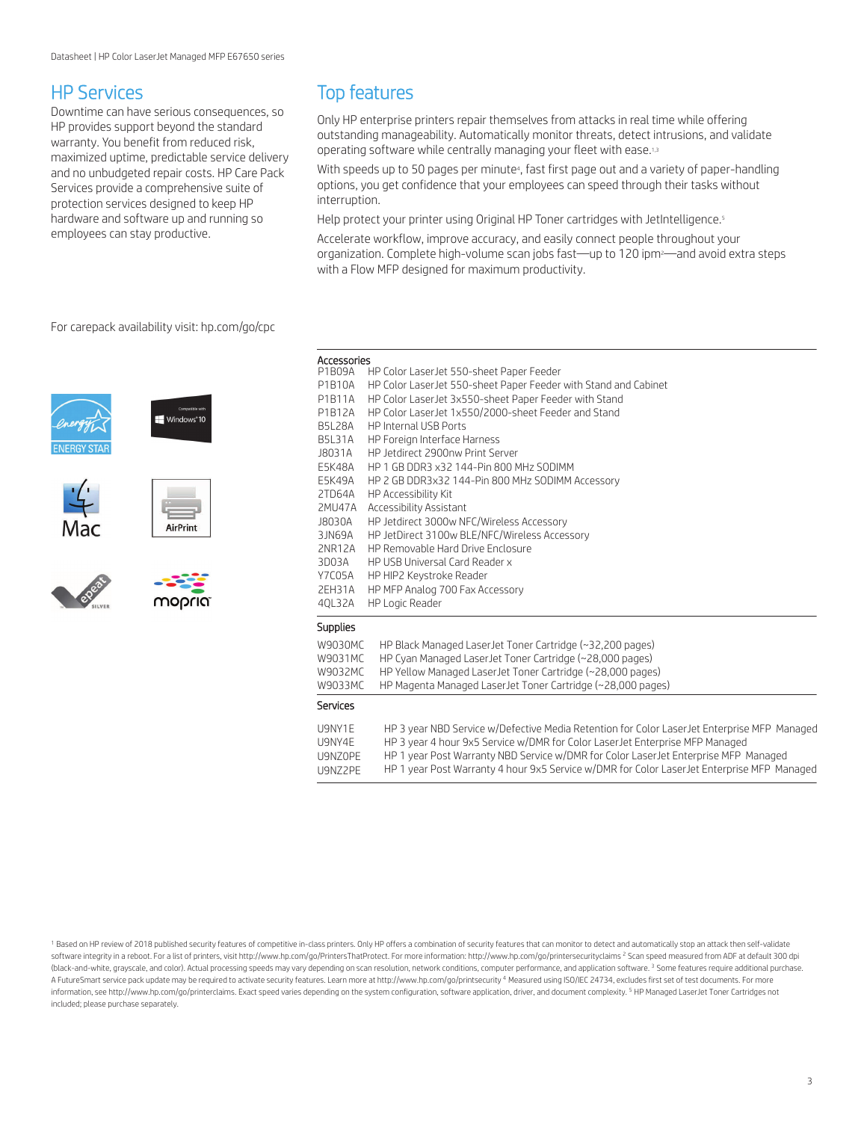### HP Services

Downtime can have serious consequences, so HP provides support beyond the standard warranty. You benefit from reduced risk, maximized uptime, predictable service delivery and no unbudgeted repair costs. HP Care Pack Services provide a comprehensive suite of protection services designed to keep HP hardware and software up and running so employees can stay productive.

## Top features

Only HP enterprise printers repair themselves from attacks in real time while offering outstanding manageability. Automatically monitor threats, detect intrusions, and validate operating software while centrally managing your fleet with ease.1,3

With speeds up to 50 pages per minute<sup>4</sup>, fast first page out and a variety of paper-handling options, you get confidence that your employees can speed through their tasks without interruption.

Help protect your printer using Original HP Toner cartridges with JetIntelligence.<sup>5</sup>

Accelerate workflow, improve accuracy, and easily connect people throughout your organization. Complete high-volume scan jobs fast—up to 120 ipm2—and avoid extra steps with a Flow MFP designed for maximum productivity.

For carepack availability visit: [hp.com/go/cpc](http://hp.com/go/cpc)













Accessories

| P1B09A        | HP Color LaserJet 550-sheet Paper Feeder                                                    |
|---------------|---------------------------------------------------------------------------------------------|
| P1B10A        | HP Color LaserJet 550-sheet Paper Feeder with Stand and Cabinet                             |
| P1B11A        | HP Color LaserJet 3x550-sheet Paper Feeder with Stand                                       |
| P1B12A        | HP Color LaserJet 1x550/2000-sheet Feeder and Stand                                         |
| <b>B5L28A</b> | HP Internal USB Ports                                                                       |
| <b>B5L31A</b> | HP Foreign Interface Harness                                                                |
| J8031A        | HP Jetdirect 2900nw Print Server                                                            |
| E5K48A        | HP 1 GB DDR3 x32 144-Pin 800 MHz SODIMM                                                     |
| E5K49A        | HP 2 GB DDR3x32 144-Pin 800 MHz SODIMM Accessory                                            |
| 2TD64A        | HP Accessibility Kit                                                                        |
| 2MU47A        | Accessibility Assistant                                                                     |
| J8030A        | HP Jetdirect 3000w NFC/Wireless Accessory                                                   |
| 3 IN69A       | HP JetDirect 3100w BLE/NFC/Wireless Accessory                                               |
| 2NR12A        | HP Removable Hard Drive Enclosure                                                           |
| 3D03A         | HP USB Universal Card Reader x                                                              |
| Y7C05A        | HP HIP2 Keystroke Reader                                                                    |
| <b>2EH31A</b> | HP MFP Analog 700 Fax Accessory                                                             |
| 40L32A        | HP Logic Reader                                                                             |
| Supplies      |                                                                                             |
| W9030MC       | HP Black Managed LaserJet Toner Cartridge (~32,200 pages)                                   |
| W9031MC       | HP Cyan Managed Laser Jet Toner Cartridge (~28,000 pages)                                   |
| W9032MC       | HP Yellow Managed LaserJet Toner Cartridge (~28,000 pages)                                  |
| W9033MC       | HP Magenta Managed LaserJet Toner Cartridge (~28,000 pages)                                 |
| Services      |                                                                                             |
| U9NY1E        | HP 3 year NBD Service w/Defective Media Retention for Color LaserJet Enterprise MFP Managed |
| U9NY4E        | HP 3 year 4 hour 9x5 Service w/DMR for Color LaserJet Enterprise MFP Managed                |
| U9N70PF       | HP 1 year Post Warranty NBD Service w/DMR for Color LaserJet Enterprise MFP Managed         |
|               |                                                                                             |

U9NZ2PE HP 1 year Post Warranty 4 hour 9x5 Service w/DMR for Color LaserJet Enterprise MFP Managed

<sup>1</sup> Based on HP review of 2018 published security features of competitive in-class printers. Only HP offers a combination of security features that can monitor to detect and automatically stop an attack then self-validate software integrity in a reboot. For a list of printers, visit http://www.hp.com/go/PrintersThatProtect. For more information: http://www.hp.com/go/printersecurityclaims <sup>2</sup> Scan speed measured from ADF at default 300 dpi (black-and-white, grayscale, and color). Actual processing speeds may vary depending on scan resolution, network conditions, computer performance, and application software. <sup>3</sup> Some features require additional purchase. A FutureSmart service pack update may be required to activate security features. Learn more at http://www.hp.com/go/printsecurity <sup>4</sup> Measured using ISO/IEC 24734, excludes first set of test documents. For more information, see http://www.hp.com/go/printerclaims. Exact speed varies depending on the system configuration, software application, driver, and document complexity. <sup>5</sup> HP Managed LaserJet Toner Cartridges not included; please purchase separately.